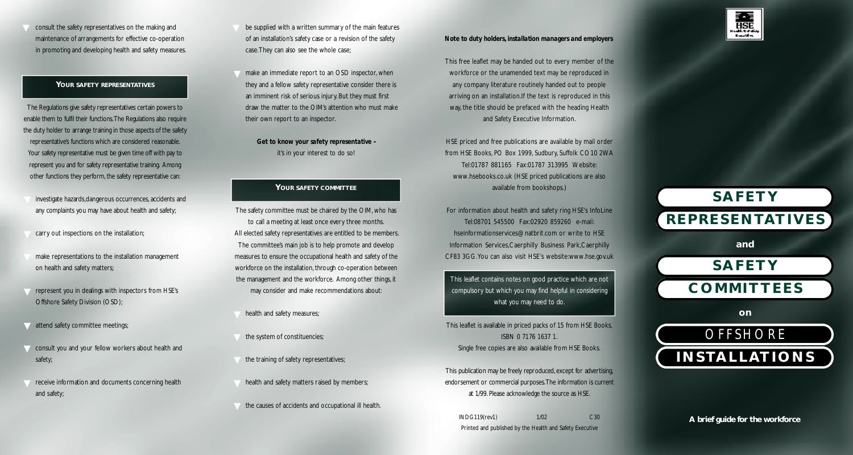consult the safety representatives on the making and maintenance of arrangements for effective co-operation in promoting and developing health and safety measures.

### Your safety representatives

The Regulations give safety representatives certain powers to enable them to fulfil their functions. The Regulations also require the duty holder to arrange training in those aspects of the safety representative's functions which are considered reasonable. Your safety representative must be given time off with pay to represent you and for safety representative training. Among other functions they perform, the safety representative can:

- investigate hazards,dangerous occurrences, accidents and any complaints you may have about health and safety;
- $\nabla$  carry out inspections on the installation;
- on health and safety matters; make representations to the installation management
- ▼ represent you in dealings with inspectors from HSE's Offshore Safety Division (OSD);
- **v** attend safety committee meetings;
- ▼ consult you and your fellow workers about health and safety
- The receive information and documents concerning health and safety;
- be supplied with a written summary of the main features of an installation's safety case or a revision of the safety case. They can also see the whole case;
- $\blacktriangledown$  make an immediate report to an OSD inspector, when they and a fellow safety representative consider there is an imminent risk of serious injury. But they must first draw the matter to the OIM's attention who must make their own report to an inspector.

Get to know your safety representative it's in your interest to do so!

### **YOUR SAFETY COMMITTEE**

- The committee's main job is to help promote and develop The safety committee must be chaired by the OIM, who has to call a meeting at least once every three months. All elected safety representatives are entitled to be members. measures to ensure the occupational health and safety of the workforce on the installation, through co-operation between the management and the workforce. Among other things, it may consider and make recommendations about:
	- health and safety measures;
- $\blacktriangledown$  the system of constituencies;
- the training of safety representatives;
- Thealth and safety matters raised by members;
- the causes of accidents and occupational ill health.

### *Note to duty holders, installation managers and employers*

any company literature routinely handed out to people arriving on an installation.If the text is reproduced in this and Safety Executive Information. This free leaflet may be handed out to every member of the workforce or the unamended text may be reproduced in way, the title should be prefaced with the heading Health

HSE priced and free publications are available by mail order Fax:01787 313995 Tel:01787 881165 Website: www.hsebooks.co.uk (HSE priced publications are also from HSE Books, PO Box 1999, Sudbury, Suffolk CO10 2WA available from bookshops.)

Tel:08701 545500 Fax:02920 859260 e-mail: hseinformationservices@natbrit.com or write to HSE For information about health and safety ring HSE's InfoLine Information Services,Caerphilly Business Park,Caerphilly CF83 3GG.You can also visit HSE's website:www.hse.gov.uk

This leaflet contains notes on good practice which are not compulsory but which you may find helpful in considering what you may need to do.

This leaflet is available in priced packs of 15 from HSE Books, ISBN 0 7176 1637 1. Single free copies are also available from HSE Books.

at 1/99. Please acknowledge the source as HSE. This publication may be freely reproduced, except for advertising, endorsement or commercial purposes. The information is current

 C30 INDG119(rev1) 1/02 Printed and published by the Health and Safety Executive

# **S A F E T Y a n d S A F E T Y R E P R E S E N TAT I V E S**



**A brief guide for the workforce**